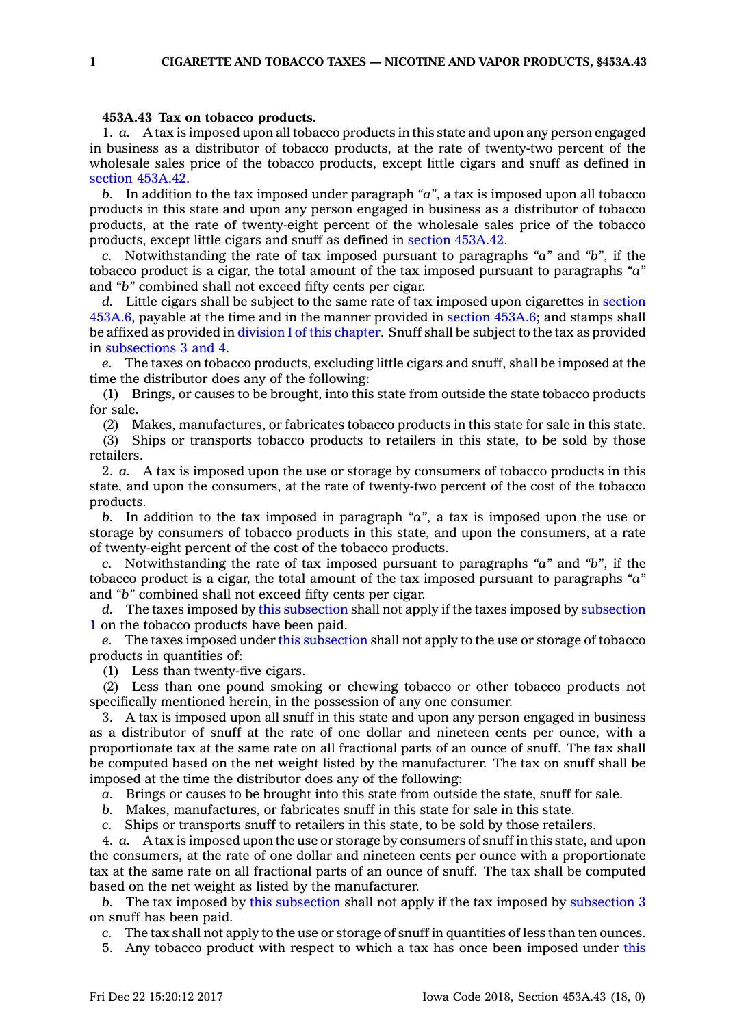## **453A.43 Tax on tobacco products.**

1. *a.* A tax is imposed upon all tobacco products in this state and upon any person engaged in business as <sup>a</sup> distributor of tobacco products, at the rate of twenty-two percent of the wholesale sales price of the tobacco products, except little cigars and snuff as defined in section [453A.42](https://www.legis.iowa.gov/docs/code/453A.42.pdf).

*b.* In addition to the tax imposed under paragraph *"a"*, <sup>a</sup> tax is imposed upon all tobacco products in this state and upon any person engaged in business as <sup>a</sup> distributor of tobacco products, at the rate of twenty-eight percent of the wholesale sales price of the tobacco products, except little cigars and snuff as defined in section [453A.42](https://www.legis.iowa.gov/docs/code/453A.42.pdf).

*c.* Notwithstanding the rate of tax imposed pursuant to paragraphs *"a"* and *"b"*, if the tobacco product is <sup>a</sup> cigar, the total amount of the tax imposed pursuant to paragraphs *"a"* and *"b"* combined shall not exceed fifty cents per cigar.

*d.* Little cigars shall be subject to the same rate of tax imposed upon cigarettes in [section](https://www.legis.iowa.gov/docs/code/453A.6.pdf) [453A.6](https://www.legis.iowa.gov/docs/code/453A.6.pdf), payable at the time and in the manner provided in section [453A.6](https://www.legis.iowa.gov/docs/code/453A.6.pdf); and stamps shall be affixed as provided in division I of this [chapter](https://www.legis.iowa.gov/docs/code//453A.pdf). Snuff shall be subject to the tax as provided in [subsections](https://www.legis.iowa.gov/docs/code/453A.43.pdf) 3 and 4.

*e.* The taxes on tobacco products, excluding little cigars and snuff, shall be imposed at the time the distributor does any of the following:

(1) Brings, or causes to be brought, into this state from outside the state tobacco products for sale.

(2) Makes, manufactures, or fabricates tobacco products in this state for sale in this state.

(3) Ships or transports tobacco products to retailers in this state, to be sold by those retailers.

2. *a.* A tax is imposed upon the use or storage by consumers of tobacco products in this state, and upon the consumers, at the rate of twenty-two percent of the cost of the tobacco products.

*b.* In addition to the tax imposed in paragraph *"a"*, <sup>a</sup> tax is imposed upon the use or storage by consumers of tobacco products in this state, and upon the consumers, at <sup>a</sup> rate of twenty-eight percent of the cost of the tobacco products.

*c.* Notwithstanding the rate of tax imposed pursuant to paragraphs *"a"* and *"b"*, if the tobacco product is <sup>a</sup> cigar, the total amount of the tax imposed pursuant to paragraphs *"a"* and *"b"* combined shall not exceed fifty cents per cigar.

*d.* The taxes imposed by this [subsection](https://www.legis.iowa.gov/docs/code/453A.43.pdf) shall not apply if the taxes imposed by [subsection](https://www.legis.iowa.gov/docs/code/453A.43.pdf) [1](https://www.legis.iowa.gov/docs/code/453A.43.pdf) on the tobacco products have been paid.

*e.* The taxes imposed under this [subsection](https://www.legis.iowa.gov/docs/code/453A.43.pdf) shall not apply to the use or storage of tobacco products in quantities of:

(1) Less than twenty-five cigars.

(2) Less than one pound smoking or chewing tobacco or other tobacco products not specifically mentioned herein, in the possession of any one consumer.

3. A tax is imposed upon all snuff in this state and upon any person engaged in business as <sup>a</sup> distributor of snuff at the rate of one dollar and nineteen cents per ounce, with <sup>a</sup> proportionate tax at the same rate on all fractional parts of an ounce of snuff. The tax shall be computed based on the net weight listed by the manufacturer. The tax on snuff shall be imposed at the time the distributor does any of the following:

*a.* Brings or causes to be brought into this state from outside the state, snuff for sale.

*b.* Makes, manufactures, or fabricates snuff in this state for sale in this state.

*c.* Ships or transports snuff to retailers in this state, to be sold by those retailers.

4. *a.* A tax is imposed upon the use or storage by consumers of snuff in this state, and upon the consumers, at the rate of one dollar and nineteen cents per ounce with <sup>a</sup> proportionate tax at the same rate on all fractional parts of an ounce of snuff. The tax shall be computed based on the net weight as listed by the manufacturer.

*b.* The tax imposed by this [subsection](https://www.legis.iowa.gov/docs/code/453A.43.pdf) shall not apply if the tax imposed by [subsection](https://www.legis.iowa.gov/docs/code/453A.43.pdf) 3 on snuff has been paid.

*c.* The tax shall not apply to the use or storage of snuff in quantities of less than ten ounces.

5. Any tobacco product with respect to which <sup>a</sup> tax has once been imposed under [this](https://www.legis.iowa.gov/docs/code//453A.pdf)